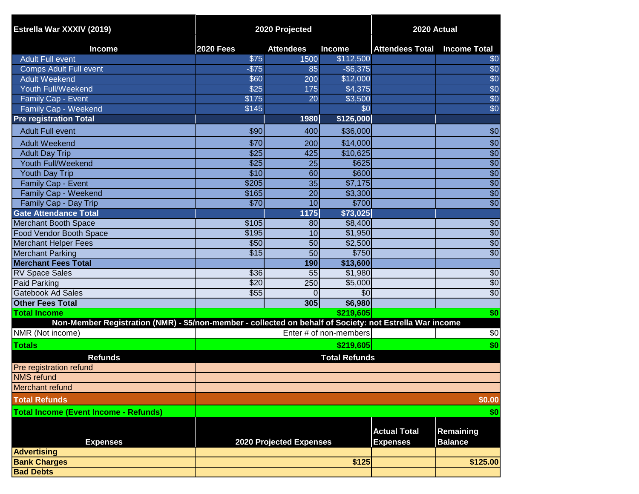| Estrella War XXXIV (2019)                                                                                | 2020 Projected   |                         |                        | 2020 Actual                            |                             |
|----------------------------------------------------------------------------------------------------------|------------------|-------------------------|------------------------|----------------------------------------|-----------------------------|
| <b>Income</b>                                                                                            | <b>2020 Fees</b> | <b>Attendees</b>        | <b>Income</b>          | <b>Attendees Total Income Total</b>    |                             |
| <b>Adult Full event</b>                                                                                  | \$75             | 1500                    | \$112,500              |                                        | \$0                         |
| <b>Comps Adult Full event</b>                                                                            | $-$75$           | 85                      | $-$ \$6,375            |                                        | \$0                         |
| <b>Adult Weekend</b>                                                                                     | \$60             | 200                     | \$12,000               |                                        | \$0                         |
| Youth Full/Weekend                                                                                       | \$25             | 175                     | \$4,375                |                                        | \$0                         |
| Family Cap - Event                                                                                       | \$175            | 20                      | \$3,500                |                                        | \$0                         |
| Family Cap - Weekend                                                                                     | \$145            |                         | \$0                    |                                        | \$0                         |
| <b>Pre registration Total</b>                                                                            |                  | 1980                    | \$126,000              |                                        |                             |
| <b>Adult Full event</b>                                                                                  | \$90             | 400                     | \$36,000               |                                        | \$0                         |
| <b>Adult Weekend</b>                                                                                     | \$70             | 200                     | \$14,000               |                                        | \$0                         |
| <b>Adult Day Trip</b>                                                                                    | \$25             | 425                     | \$10,625               |                                        | $\overline{50}$             |
| Youth Full/Weekend                                                                                       | \$25             | $\overline{25}$         | \$625                  |                                        | $\overline{60}$             |
| <b>Youth Day Trip</b>                                                                                    | \$10             | 60                      | \$600                  |                                        | $\overline{30}$             |
| Family Cap - Event                                                                                       | \$205            | $\overline{35}$         | \$7,175                |                                        | $\overline{30}$             |
| Family Cap - Weekend                                                                                     | \$165            | 20                      | \$3,300                |                                        | $\overline{50}$             |
| Family Cap - Day Trip                                                                                    | \$70             | $\overline{10}$         | \$700                  |                                        | $\overline{60}$             |
| <b>Gate Attendance Total</b>                                                                             |                  | 1175                    | \$73,025               |                                        |                             |
| <b>Merchant Booth Space</b>                                                                              | \$105            | 80                      | \$8,400                |                                        | $\sqrt{6}$                  |
| <b>Food Vendor Booth Space</b>                                                                           | \$195            | 10                      | \$1,950                |                                        | $\overline{60}$             |
| <b>Merchant Helper Fees</b>                                                                              | \$50             | 50                      | \$2,500                |                                        | \$0                         |
| <b>Merchant Parking</b>                                                                                  | $\overline{$15}$ | 50                      | \$750                  |                                        | $\overline{60}$             |
| <b>Merchant Fees Total</b>                                                                               |                  | 190                     | \$13,600               |                                        |                             |
| <b>RV Space Sales</b>                                                                                    | \$36             | 55                      | \$1,980                |                                        | \$0                         |
| Paid Parking                                                                                             | \$20             | 250                     | \$5,000                |                                        | \$0                         |
| <b>Gatebook Ad Sales</b>                                                                                 | \$55             | $\Omega$                | $\sqrt{6}$             |                                        | $\overline{50}$             |
| <b>Other Fees Total</b>                                                                                  |                  | 305                     | \$6,980                |                                        |                             |
| <b>Total Income</b>                                                                                      |                  |                         | \$219,605              |                                        | \$0                         |
| Non-Member Registration (NMR) - \$5/non-member - collected on behalf of Society: not Estrella War income |                  |                         |                        |                                        |                             |
| NMR (Not income)                                                                                         |                  |                         | Enter # of non-members |                                        | \$0                         |
| <b>Totals</b>                                                                                            |                  |                         | \$219,605              |                                        | \$0                         |
| <b>Refunds</b>                                                                                           |                  |                         | <b>Total Refunds</b>   |                                        |                             |
| Pre registration refund                                                                                  |                  |                         |                        |                                        |                             |
| <b>NMS</b> refund                                                                                        |                  |                         |                        |                                        |                             |
| Merchant refund                                                                                          |                  |                         |                        |                                        |                             |
| <b>Total Refunds</b>                                                                                     |                  |                         |                        |                                        | \$0.00                      |
| <b>Total Income (Event Income - Refunds)</b>                                                             |                  |                         |                        |                                        | \$0                         |
| <b>Expenses</b>                                                                                          |                  | 2020 Projected Expenses |                        | <b>Actual Total</b><br><b>Expenses</b> | Remaining<br><b>Balance</b> |
| <b>Advertising</b>                                                                                       |                  |                         |                        |                                        |                             |
| <b>Bank Charges</b>                                                                                      |                  |                         | \$125                  |                                        | \$125.00                    |
| <b>Bad Debts</b>                                                                                         |                  |                         |                        |                                        |                             |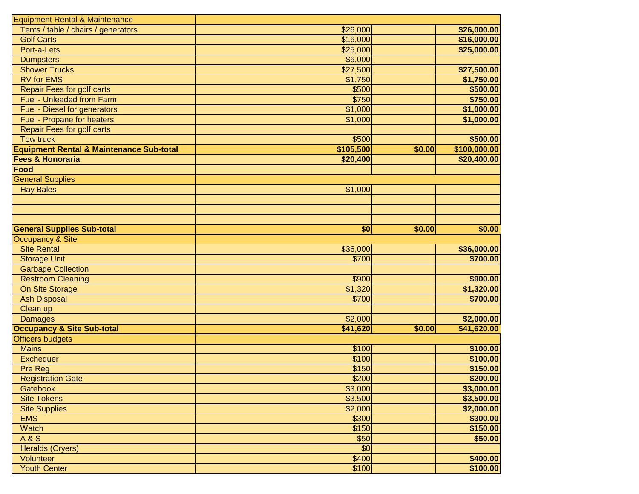| \$26,000.00<br>\$16,000.00 |
|----------------------------|
|                            |
|                            |
|                            |
| \$25,000.00                |
|                            |
| \$27,500.00                |
| \$1,750.00                 |
| \$500.00                   |
| \$750.00                   |
| \$1,000.00                 |
| \$1,000.00                 |
|                            |
| \$500.00                   |
| \$100,000.00               |
| \$20,400.00                |
|                            |
|                            |
|                            |
|                            |
|                            |
|                            |
| \$0.00                     |
|                            |
| \$36,000.00                |
| \$700.00                   |
|                            |
|                            |
|                            |
| \$900.00                   |
| \$1,320.00                 |
| \$700.00                   |
|                            |
| \$2,000.00                 |
| \$41,620.00                |
|                            |
| \$100.00                   |
| \$100.00                   |
| \$150.00                   |
| \$200.00                   |
| \$3,000.00                 |
| \$3,500.00                 |
| \$2,000.00                 |
| \$300.00                   |
| \$150.00                   |
| \$50.00                    |
|                            |
| \$400.00<br>\$100.00       |
|                            |